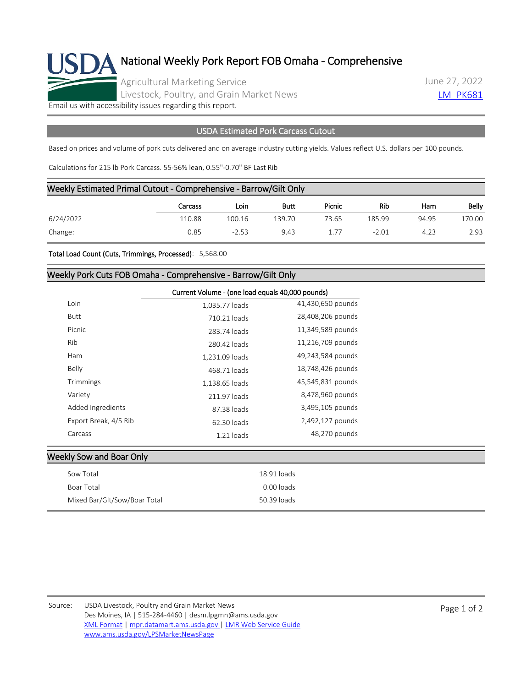

## National Weekly Pork Report FOB Omaha - Comprehensive

Agricultural Marketing Service Livestock, Poultry, and Grain Market News June 27, 2022 **LM PK681** 

[Email us with accessibility issues regarding this report.](mailto:mpr.lpgmn@ams.usda.gov?subject=508%20Issue)

## USDA Estimated Pork Carcass Cutout

Based on prices and volume of pork cuts delivered and on average industry cutting yields. Values reflect U.S. dollars per 100 pounds.

Calculations for 215 lb Pork Carcass. 55-56% lean, 0.55"-0.70" BF Last Rib

|           | Weekly Estimated Primal Cutout - Comprehensive - Barrow/Gilt Only |         |        |        |         |       |        |
|-----------|-------------------------------------------------------------------|---------|--------|--------|---------|-------|--------|
|           | Carcass                                                           | Loin    | Butt   | Picnic | Rib     | Ham   | Belly  |
| 6/24/2022 | 110.88                                                            | 100.16  | 139.70 | 73.65  | 185.99  | 94.95 | 170.00 |
| Change:   | 0.85                                                              | $-2.53$ | 9.43   | 1.77   | $-2.01$ | 4.23  | 2.93   |

Total Load Count (Cuts, Trimmings, Processed): 5,568.00

## Weekly Pork Cuts FOB Omaha - Comprehensive - Barrow/Gilt Only

|                       |                | Current Volume - (one load equals 40,000 pounds) |  |  |  |
|-----------------------|----------------|--------------------------------------------------|--|--|--|
| Loin                  | 1,035.77 loads | 41,430,650 pounds                                |  |  |  |
| Butt                  | 710.21 loads   | 28,408,206 pounds                                |  |  |  |
| Picnic                | 283.74 loads   | 11,349,589 pounds                                |  |  |  |
| Rib                   | 280.42 loads   | 11,216,709 pounds                                |  |  |  |
| Ham                   | 1,231.09 loads | 49,243,584 pounds                                |  |  |  |
| Belly                 | 468.71 loads   | 18,748,426 pounds                                |  |  |  |
| Trimmings             | 1,138.65 loads | 45,545,831 pounds                                |  |  |  |
| Variety               | 211.97 loads   | 8,478,960 pounds                                 |  |  |  |
| Added Ingredients     | 87.38 loads    | 3,495,105 pounds                                 |  |  |  |
| Export Break, 4/5 Rib | 62.30 loads    | 2,492,127 pounds                                 |  |  |  |
| Carcass               | $1.21$ loads   | 48,270 pounds                                    |  |  |  |

## Weekly Sow and Boar Only

| Sow Total                    | 18.91 loads |
|------------------------------|-------------|
| Boar Total                   | 0.00 loads  |
| Mixed Bar/Glt/Sow/Boar Total | 50.39 loads |